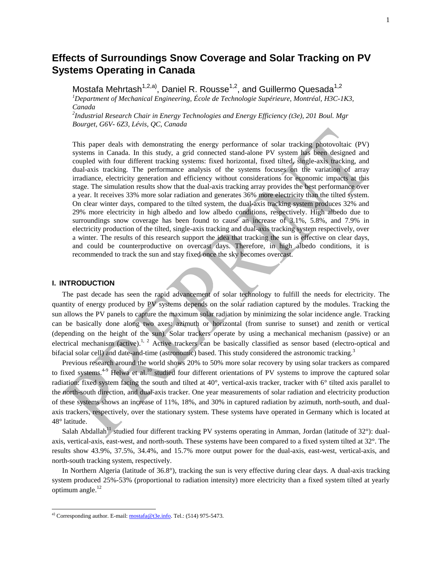# **Effects of Surroundings Snow Coverage and Solar Tracking on PV Systems Operating in Canada**

Mostafa Mehrtash<sup>1,2,a)</sup>, Daniel R. Rousse<sup>1,2</sup>, and Guillermo Quesada<sup>1,2</sup> *<sup>1</sup>Department of Mechanical Engineering, École de Technologie Supérieure, Montréal, H3C-1K3, Canada*

*2 Industrial Research Chair in Energy Technologies and Energy Efficiency (t3e), 201 Boul. Mgr Bourget, G6V- 6Z3, Lévis, QC, Canada*

This paper deals with demonstrating the energy performance of solar tracking photovoltaic (PV) systems in Canada. In this study, a grid connected stand-alone PV system has been designed and coupled with four different tracking systems: fixed horizontal, fixed tilted, single-axis tracking, and dual-axis tracking. The performance analysis of the systems focuses on the variation of array irradiance, electricity generation and efficiency without considerations for economic impacts at this stage. The simulation results show that the dual-axis tracking array provides the best performance over a year. It receives 33% more solar radiation and generates 36% more electricity than the tilted system. On clear winter days, compared to the tilted system, the dual-axis tracking system produces 32% and 29% more electricity in high albedo and low albedo conditions, respectively. High albedo due to surroundings snow coverage has been found to cause an increase of 3.1%, 5.8%, and 7.9% in electricity production of the tilted, single-axis tracking and dual-axis tracking system respectively, over a winter. The results of this research support the idea that tracking the sun is effective on clear days, and could be counterproductive on overcast days. Therefore, in high albedo conditions, it is recommended to track the sun and stay fixed once the sky becomes overcast.

## **I. INTRODUCTION**

l

The past decade has seen the rapid advancement of solar technology to fulfill the needs for electricity. The quantity of energy produced by PV systems depends on the solar radiation captured by the modules. Tracking the sun allows the PV panels to capture the maximum solar radiation by minimizing the solar incidence angle. Tracking can be basically done along two axes: azimuth or horizontal (from sunrise to sunset) and zenith or vertical (depending on the height of the sun). Solar trackers operate by using a mechanical mechanism (passive) or an electrical mechanism (active).<sup>[1,](#page-17-0) [2](#page-17-1)</sup> Active trackers can be basically classified as sensor based (electro-optical and bifacial solar cell) and date-and-time (astronomic) based. This study considered the astronomic trackin[g.](#page-17-2)<sup>3</sup>

Previous research around the world shows 20% to 50% more solar recovery by using solar trackers as compared to fixed systems.<sup>[4-9](#page-17-3)</sup> Helwa et al.<sup>[10](#page-17-4)</sup> studied four different orientations of PV systems to improve the captured solar radiation: fixed system facing the south and tilted at  $40^{\circ}$ , vertical-axis tracker, tracker with  $6^{\circ}$  tilted axis parallel to the north-south direction, and dual-axis tracker. One year measurements of solar radiation and electricity production of these systems shows an increase of 11%, 18%, and 30% in captured radiation by azimuth, north-south, and dualaxis trackers, respectively, over the stationary system. These systems have operated in Germany which is located at 48° latitude.

Salah Abdallah<sup>[11](#page-17-5)</sup> studied four different tracking PV systems operating in Amman, Jordan (latitude of 32°): dualaxis, vertical-axis, east-west, and north-south. These systems have been compared to a fixed system tilted at 32°. The results show 43.9%, 37.5%, 34.4%, and 15.7% more output power for the dual-axis, east-west, vertical-axis, and north-south tracking system, respectively.

In Northern Algeria (latitude of 36.8°), tracking the sun is very effective during clear days. A dual-axis tracking system produced 25%-53% (proportional to radiation intensity) more electricity than a fixed system tilted at yearly optimum angle.<sup>[12](#page-17-6)</sup>

<sup>&</sup>lt;sup>a)</sup> Corresponding author. E-mail:  $\frac{\text{mostafa@t3e.info}}{\text{mostafa@t3e.info}}$ . Tel.: (514) 975-5473.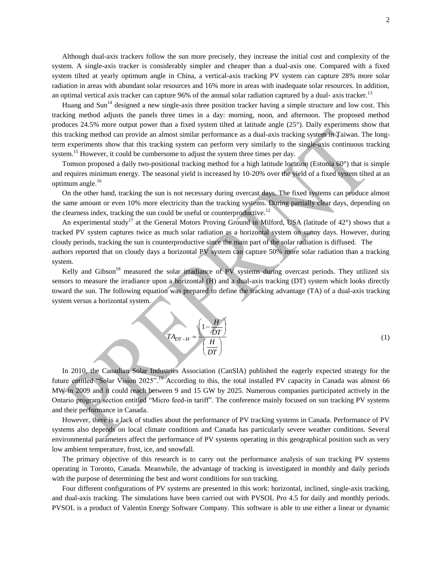Although dual-axis trackers follow the sun more precisely, they increase the initial cost and complexity of the system. A single-axis tracker is considerably simpler and cheaper than a dual-axis one. Compared with a fixed system tilted at yearly optimum angle in China, a vertical-axis tracking PV system can capture 28% more solar radiation in areas with abundant solar resources and 16% more in areas with inadequate solar resources. In addition, an optimal vertical axis tracker can capture 96% of the annual solar radiation captured by a dual-axis tracker.<sup>[13](#page-17-7)</sup>

Huang and Sun<sup>[14](#page-17-8)</sup> designed a new single-axis three position tracker having a simple structure and low cost. This tracking method adjusts the panels three times in a day: morning, noon, and afternoon. The proposed method produces 24.5% more output power than a fixed system tilted at latitude angle (25°). Daily experiments show that this tracking method can provide an almost similar performance as a dual-axis tracking system in Taiwan. The longterm experiments show that this tracking system can perform very similarly to the single-axis continuous tracking system.<sup>[15](#page-17-9)</sup> However, it could be cumbersome to adjust the system three times per day.

Tomson proposed a daily two-positional tracking method for a high latitude location (Estonia 60°) that is simple and requires minimum energy. The seasonal yield is increased by 10-20% over the yield of a fixed system tilted at an optimum angle. [16](#page-17-10)

On the other hand, tracking the sun is not necessary during overcast days. The fixed systems can produce almost the same amount or even 10% more electricity than the tracking systems. During partially clear days, depending on the clearness index, tracking the sun could be useful or counterproductive.<sup>[12](#page-17-6)</sup>

An experimental study<sup>[17](#page-17-11)</sup> at the General Motors Proving Ground in Milford, USA (latitude of 42 $^{\circ}$ ) shows that a tracked PV system captures twice as much solar radiation as a horizontal system on sunny days. However, during cloudy periods, tracking the sun is counterproductive since the main part of the solar radiation is diffused. The authors reported that on cloudy days a horizontal PV system can capture 50% more solar radiation than a tracking system.

Kelly and Gibson<sup>[18](#page-18-0)</sup> measured the solar irradiance of PV systems during overcast periods. They utilized six sensors to measure the irradiance upon a horizontal (H) and a dual-axis tracking (DT) system which looks directly toward the sun. The following equation was prepared to define the tracking advantage (TA) of a dual-axis tracking system versus a horizontal system.

$$
TA_{DT-H} = \frac{\left(1 - \frac{H}{DT}\right)}{\left(\frac{H}{DT}\right)}
$$
(1)

In 2010, the Canadian Solar Industries Association (CanSIA) published the eagerly expected strategy for the future entitled "Solar Vision 2025".<sup>[19](#page-18-1)</sup> According to this, the total installed PV capacity in Canada was almost 66 MW in 2009 and it could reach between 9 and 15 GW by 2025. Numerous companies participated actively in the Ontario program section entitled "Micro feed-in tariff". The conference mainly focused on sun tracking PV systems and their performance in Canada.

However, there is a lack of studies about the performance of PV tracking systems in Canada. Performance of PV systems also depends on local climate conditions and Canada has particularly severe weather conditions. Several environmental parameters affect the performance of PV systems operating in this geographical position such as very low ambient temperature, frost, ice, and snowfall.

The primary objective of this research is to carry out the performance analysis of sun tracking PV systems operating in Toronto, Canada. Meanwhile, the advantage of tracking is investigated in monthly and daily periods with the purpose of determining the best and worst conditions for sun tracking.

Four different configurations of PV systems are presented in this work: horizontal, inclined, single-axis tracking, and dual-axis tracking. The simulations have been carried out with PVSOL Pro 4.5 for daily and monthly periods. PVSOL is a product of Valentin Energy Software Company. This software is able to use either a linear or dynamic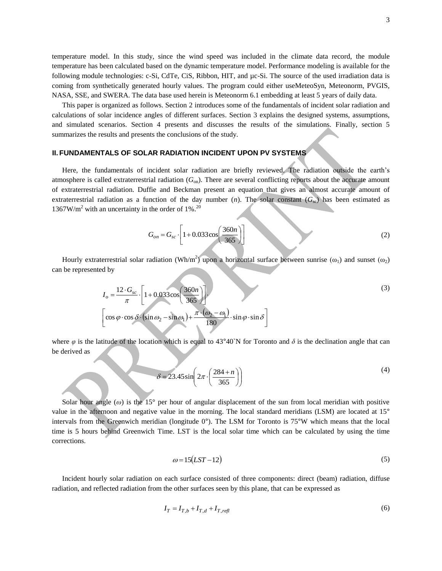temperature model. In this study, since the wind speed was included in the climate data record, the module temperature has been calculated based on the dynamic temperature model. Performance modeling is available for the following module technologies: c-Si, CdTe, CiS, Ribbon, HIT, and µc-Si. The source of the used irradiation data is coming from synthetically generated hourly values. The program could either useMeteoSyn, Meteonorm, PVGIS, NASA, SSE, and SWERA. The data base used herein is Meteonorm 6.1 embedding at least 5 years of daily data.

This paper is organized as follows. Section 2 introduces some of the fundamentals of incident solar radiation and calculations of solar incidence angles of different surfaces. Section 3 explains the designed systems, assumptions, and simulated scenarios. Section 4 presents and discusses the results of the simulations. Finally, section 5 summarizes the results and presents the conclusions of the study.

## **II. FUNDAMENTALS OF SOLAR RADIATION INCIDENT UPON PV SYSTEMS**

Here, the fundamentals of incident solar radiation are briefly reviewed. The radiation outside the earth's atmosphere is called extraterrestrial radiation (*G*on). There are several conflicting reports about the accurate amount of extraterrestrial radiation. Duffie and Beckman present an equation that gives an almost accurate amount of extraterrestrial radiation as a function of the day number  $(n)$ . The solar constant  $(G_{\infty})$  has been estimated as  $1367$ W/m<sup>2</sup> with an uncertainty in the order of 1%.<sup>[20](#page-18-2)</sup>

$$
G_{on} = G_{sc} \cdot \left[ 1 + 0.033 \cos \left( \frac{360n}{365} \right) \right]
$$
 (2)

Hourly extraterrestrial solar radiation (Wh/m<sup>2</sup>) upon a horizontal surface between sunrise ( $\omega_1$ ) and sunset ( $\omega_2$ ) can be represented by

$$
I_o = \frac{12 \cdot G_{sc}}{\pi} \cdot \left[ 1 + 0.033 \cos\left(\frac{360n}{365}\right) \right].
$$
  
\n
$$
\left[ \cos \varphi \cdot \cos \delta \cdot (\sin \omega_2 - \sin \omega_1) + \frac{\pi \cdot (\omega_2 - \omega_1)}{180} \cdot \sin \varphi \cdot \sin \delta \right]
$$
\n(3)

where  $\varphi$  is the latitude of the location which is equal to 43°40`N for Toronto and  $\delta$  is the declination angle that can be derived as

$$
\delta = 23.45 \sin \left( 2\pi \cdot \left( \frac{284 + n}{365} \right) \right) \tag{4}
$$

Solar hour angle ( $\omega$ ) is the 15° per hour of angular displacement of the sun from local meridian with positive value in the afternoon and negative value in the morning. The local standard meridians (LSM) are located at 15° intervals from the Greenwich meridian (longitude 0°). The LSM for Toronto is 75°W which means that the local time is 5 hours behind Greenwich Time. LST is the local solar time which can be calculated by using the time corrections.

$$
\omega = 15(LST - 12) \tag{5}
$$

Incident hourly solar radiation on each surface consisted of three components: direct (beam) radiation, diffuse radiation, and reflected radiation from the other surfaces seen by this plane, that can be expressed as

$$
I_T = I_{T,b} + I_{T,d} + I_{T,refl} \tag{6}
$$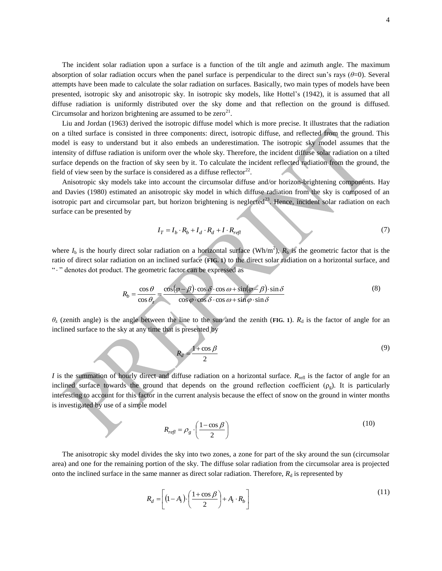The incident solar radiation upon a surface is a function of the tilt angle and azimuth angle. The maximum absorption of solar radiation occurs when the panel surface is perpendicular to the direct sun's rays (*θ*=0). Several attempts have been made to calculate the solar radiation on surfaces. Basically, two main types of models have been presented, isotropic sky and anisotropic sky. In isotropic sky models, like Hottel's (1942), it is assumed that all diffuse radiation is uniformly distributed over the sky dome and that reflection on the ground is diffused. Circumsolar and horizon brightening are assumed to be  $zero^{21}$  $zero^{21}$  $zero^{21}$ .

Liu and Jordan (1963) derived the isotropic diffuse model which is more precise. It illustrates that the radiation on a tilted surface is consisted in three components: direct, isotropic diffuse, and reflected from the ground. This model is easy to understand but it also embeds an underestimation. The isotropic sky model assumes that the intensity of diffuse radiation is uniform over the whole sky. Therefore, the incident diffuse solar radiation on a tilted surface depends on the fraction of sky seen by it. To calculate the incident reflected radiation from the ground, the field of view seen by the surface is considered as a diffuse reflector<sup>[22](#page-18-4)</sup>.

Anisotropic sky models take into account the circumsolar diffuse and/or horizon-brightening components. Hay and Davies (1980) estimated an anisotropic sky model in which diffuse radiation from the sky is composed of an isotropic part and circumsolar part, but horizon brightening is neglected<sup>[23](#page-18-5)</sup>. Hence, incident solar radiation on each surface can be presented by

$$
I_T = I_b \cdot R_b + I_d \cdot R_d + I \cdot R_{refl} \tag{7}
$$

where  $I_b$  is the hourly direct solar radiation on a horizontal surface (Wh/m<sup>2</sup>),  $R_b$  is the geometric factor that is the ratio of direct solar radiation on an inclined surface (**[FIG. 1](#page-5-0)**) to the direct solar radiation on a horizontal surface, and ". " denotes dot product. The geometric factor can be expressed as

$$
R_b = \frac{\cos \theta}{\cos \theta_z} = \frac{\cos(\varphi - \beta) \cdot \cos \delta \cdot \cos \omega + \sin(\varphi - \beta) \cdot \sin \delta}{\cos \varphi \cdot \cos \delta \cdot \cos \omega + \sin \varphi \cdot \sin \delta}
$$
(8)

 $\theta$ <sub>z</sub> (zenith angle) is the angle between the line to the sun and the zenith (**[FIG. 1](#page-5-0)**).  $R_d$  is the factor of angle for an inclined surface to the sky at any time that is presented by

$$
R_d = \frac{1 + \cos \beta}{2} \tag{9}
$$

 $I$  is the summation of hourly direct and diffuse radiation on a horizontal surface.  $R_{\text{refl}}$  is the factor of angle for an inclined surface towards the ground that depends on the ground reflection coefficient  $(\rho_g)$ . It is particularly interesting to account for this factor in the current analysis because the effect of snow on the ground in winter months is investigated by use of a simple model

$$
R_{\text{refl}} = \rho_g \cdot \left(\frac{1 - \cos \beta}{2}\right) \tag{10}
$$

The anisotropic sky model divides the sky into two zones, a zone for part of the sky around the sun (circumsolar area) and one for the remaining portion of the sky. The diffuse solar radiation from the circumsolar area is projected onto the inclined surface in the same manner as direct solar radiation. Therefore,  $R_d$  is represented by

$$
R_d = \left[ (1 - A_i) \cdot \left( \frac{1 + \cos \beta}{2} \right) + A_i \cdot R_b \right] \tag{11}
$$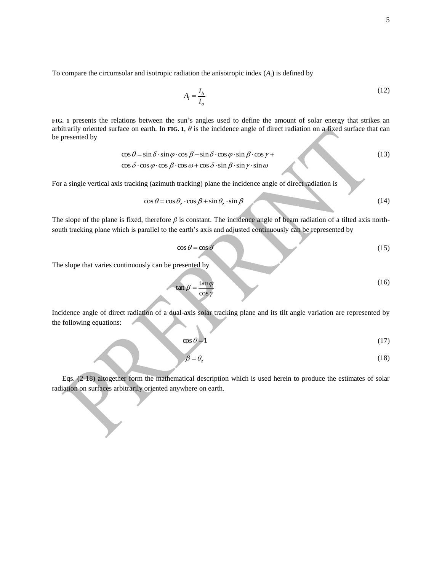To compare the circumsolar and isotropic radiation the anisotropic index (*A*i) is defined by

$$
A_i = \frac{I_b}{I_o} \tag{12}
$$

**[FIG. 1](#page-5-0)** presents the relations between the sun's angles used to define the amount of solar energy that strikes an arbitrarily oriented surface on earth. In [FIG. 1](#page-5-0),  $\theta$  is the incidence angle of direct radiation on a fixed surface that can be presented by

$$
\cos \theta = \sin \delta \cdot \sin \varphi \cdot \cos \beta - \sin \delta \cdot \cos \varphi \cdot \sin \beta \cdot \cos \gamma + \cos \delta \cdot \cos \varphi \cdot \cos \theta \cdot \cos \varphi + \cos \delta \cdot \sin \beta \cdot \sin \gamma \cdot \sin \varphi \tag{13}
$$

For a single vertical axis tracking (azimuth tracking) plane the incidence angle of direct radiation is

$$
\cos \theta = \cos \theta_z \cdot \cos \beta + \sin \theta_z \cdot \sin \beta \tag{14}
$$

The slope of the plane is fixed, therefore  $\beta$  is constant. The incidence angle of beam radiation of a tilted axis northsouth tracking plane which is parallel to the earth's axis and adjusted continuously can be represented by

$$
\cos \theta = \cos \delta \tag{15}
$$

The slope that varies continuously can be presented by

$$
\tan \beta = \frac{\tan \phi}{\cos \gamma} \tag{16}
$$

Incidence angle of direct radiation of a dual-axis solar tracking plane and its tilt angle variation are represented by the following equations:

$$
\cos \theta = 1 \tag{17}
$$

$$
\beta = \theta_z \tag{18}
$$

Eqs. (2-18) altogether form the mathematical description which is used herein to produce the estimates of solar radiation on surfaces arbitrarily oriented anywhere on earth.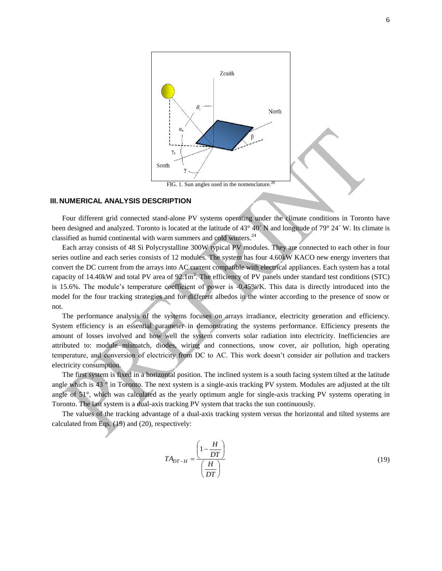

#### <span id="page-5-0"></span>**III. NUMERICAL ANALYSIS DESCRIPTION**

Four different grid connected stand-alone PV systems operating under the climate conditions in Toronto have been designed and analyzed. Toronto is located at the latitude of 43° 40´ N and longitude of 79° 24´ W. Its climate is classified as humid continental with warm summers and cold winters.<sup>[24](#page-18-6)</sup>

Each array consists of 48 Si Polycrystalline 300W typical PV modules. They are connected to each other in four series outline and each series consists of 12 modules. The system has four 4.60kW KACO new energy inverters that convert the DC current from the arrays into AC current compatible with electrical appliances. Each system has a total capacity of 14.40kW and total PV area of  $92.1 \text{m}^2$ . The efficiency of PV panels under standard test conditions (STC) is 15.6%. The module's temperature coefficient of power is -0.45%/K. This data is directly introduced into the model for the four tracking strategies and for different albedos in the winter according to the presence of snow or not.

The performance analysis of the systems focuses on arrays irradiance, electricity generation and efficiency. System efficiency is an essential parameter in demonstrating the systems performance. Efficiency presents the amount of losses involved and how well the system converts solar radiation into electricity. Inefficiencies are attributed to: module mismatch, diodes, wiring and connections, snow cover, air pollution, high operating temperature, and conversion of electricity from DC to AC. This work doesn't consider air pollution and trackers electricity consumption.

The first system is fixed in a horizontal position. The inclined system is a south facing system tilted at the latitude angle which is 43 ° in Toronto. The next system is a single-axis tracking PV system. Modules are adjusted at the tilt angle of 51°, which was calculated as the yearly optimum angle for single-axis tracking PV systems operating in Toronto. The last system is a dual-axis tracking PV system that tracks the sun continuously.

The values of the tracking advantage of a dual-axis tracking system versus the horizontal and tilted systems are calculated from Eqs. (19) and (20), respectively:

$$
TA_{DT-H} = \frac{\left(1 - \frac{H}{DT}\right)}{\left(\frac{H}{DT}\right)}
$$
(19)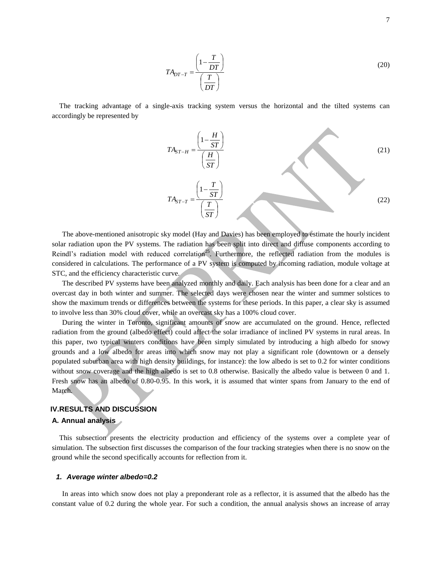$$
TA_{DT-T} = \frac{\left(1 - \frac{T}{DT}\right)}{\left(\frac{T}{DT}\right)}
$$
\n(20)

The tracking advantage of a single-axis tracking system versus the horizontal and the tilted systems can accordingly be represented by

$$
TA_{ST-H} = \frac{\left(1 - \frac{H}{ST}\right)}{\left(\frac{H}{ST}\right)}
$$
\n
$$
TA_{ST-T} = \frac{\left(1 - \frac{T}{ST}\right)}{\left(\frac{T}{ST}\right)}
$$
\n(21)

Á

The above-mentioned anisotropic sky model (Hay and Davies) has been employed to estimate the hourly incident solar radiation upon the PV systems. The radiation has been split into direct and diffuse components according to Reindl's radiation model with reduced correlation<sup>[25](#page-18-7)</sup>. Furthermore, the reflected radiation from the modules is considered in calculations. The performance of a PV system is computed by incoming radiation, module voltage at STC, and the efficiency characteristic curve.

The described PV systems have been analyzed monthly and daily. Each analysis has been done for a clear and an overcast day in both winter and summer. The selected days were chosen near the winter and summer solstices to show the maximum trends or differences between the systems for these periods. In this paper, a clear sky is assumed to involve less than 30% cloud cover, while an overcast sky has a 100% cloud cover.

During the winter in Toronto, significant amounts of snow are accumulated on the ground. Hence, reflected radiation from the ground (albedo effect) could affect the solar irradiance of inclined PV systems in rural areas. In this paper, two typical winters conditions have been simply simulated by introducing a high albedo for snowy grounds and a low albedo for areas into which snow may not play a significant role (downtown or a densely populated suburban area with high density buildings, for instance): the low albedo is set to 0.2 for winter conditions without snow coverage and the high albedo is set to 0.8 otherwise. Basically the albedo value is between 0 and 1. Fresh snow has an albedo of 0.80-0.95. In this work, it is assumed that winter spans from January to the end of March.

# **IV.RESULTS AND DISCUSSION**

## **A. Annual analysis**

This subsection presents the electricity production and efficiency of the systems over a complete year of simulation. The subsection first discusses the comparison of the four tracking strategies when there is no snow on the ground while the second specifically accounts for reflection from it.

#### *1. Average winter albedo=0.2*

In areas into which snow does not play a preponderant role as a reflector, it is assumed that the albedo has the constant value of 0.2 during the whole year. For such a condition, the annual analysis shows an increase of array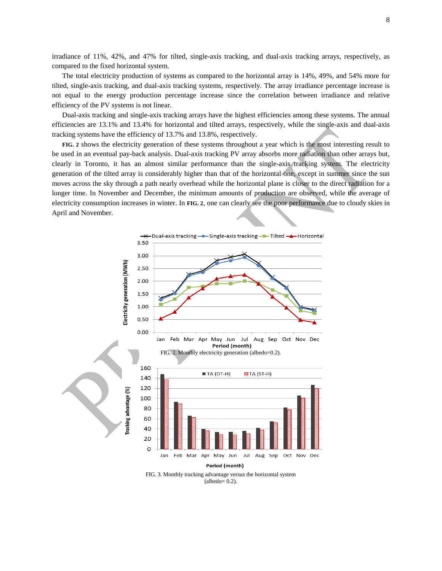irradiance of 11%, 42%, and 47% for tilted, single-axis tracking, and dual-axis tracking arrays, respectively, as compared to the fixed horizontal system.

The total electricity production of systems as compared to the horizontal array is 14%, 49%, and 54% more for tilted, single-axis tracking, and dual-axis tracking systems, respectively. The array irradiance percentage increase is not equal to the energy production percentage increase since the correlation between irradiance and relative efficiency of the PV systems is not linear.

Dual-axis tracking and single-axis tracking arrays have the highest efficiencies among these systems. The annual efficiencies are 13.1% and 13.4% for horizontal and tilted arrays, respectively, while the single-axis and dual-axis tracking systems have the efficiency of 13.7% and 13.8%, respectively.

**[FIG. 2](#page-7-0)** shows the electricity generation of these systems throughout a year which is the most interesting result to be used in an eventual pay-back analysis. Dual-axis tracking PV array absorbs more radiation than other arrays but, clearly in Toronto, it has an almost similar performance than the single-axis tracking system. The electricity generation of the tilted array is considerably higher than that of the horizontal one, except in summer since the sun moves across the sky through a path nearly overhead while the horizontal plane is closer to the direct radiation for a longer time. In November and December, the minimum amounts of production are observed, while the average of electricity consumption increases in winter. In **[FIG. 2](#page-7-0)**, one can clearly see the poor performance due to cloudy skies in April and November.

<span id="page-7-0"></span>

<span id="page-7-1"></span>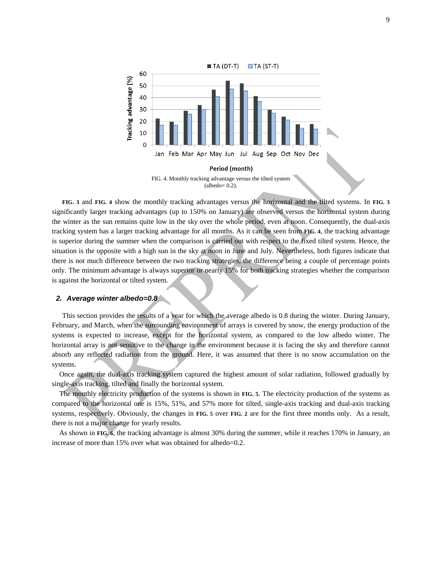

<span id="page-8-0"></span>**[FIG. 3](#page-7-1)** and **[FIG. 4](#page-8-0)** show the monthly tracking advantages versus the horizontal and the tilted systems. In **[FIG. 3](#page-7-1)** significantly larger tracking advantages (up to 150% on January) are observed versus the horizontal system during the winter as the sun remains quite low in the sky over the whole period, even at noon. Consequently, the dual-axis tracking system has a larger tracking advantage for all months. As it can be seen from **[FIG. 4](#page-8-0)**, the tracking advantage is superior during the summer when the comparison is carried out with respect to the fixed tilted system. Hence, the situation is the opposite with a high sun in the sky at noon in June and July. Nevertheless, both figures indicate that there is not much difference between the two tracking strategies, the difference being a couple of percentage points only. The minimum advantage is always superior or nearly 15% for both tracking strategies whether the comparison is against the horizontal or tilted system.

#### *2. Average winter albedo=0.8*

This section provides the results of a year for which the average albedo is 0.8 during the winter. During January, February, and March, when the surrounding environment of arrays is covered by snow, the energy production of the systems is expected to increase, except for the horizontal system, as compared to the low albedo winter. The horizontal array is not sensitive to the change in the environment because it is facing the sky and therefore cannot absorb any reflected radiation from the ground. Here, it was assumed that there is no snow accumulation on the systems.

Once again, the dual-axis tracking system captured the highest amount of solar radiation, followed gradually by single-axis tracking, tilted and finally the horizontal system.

The monthly electricity production of the systems is shown in **[FIG. 5](#page-9-0)**. The electricity production of the systems as compared to the horizontal one is 15%, 51%, and 57% more for tilted, single-axis tracking and dual-axis tracking systems, respectively. Obviously, the changes in **[FIG. 5](#page-9-0)** over **[FIG. 2](#page-7-0)** are for the first three months only. As a result, there is not a major change for yearly results.

As shown in **[FIG. 6](#page-9-1)**, the tracking advantage is almost 30% during the summer, while it reaches 170% in January, an increase of more than 15% over what was obtained for albedo=0.2.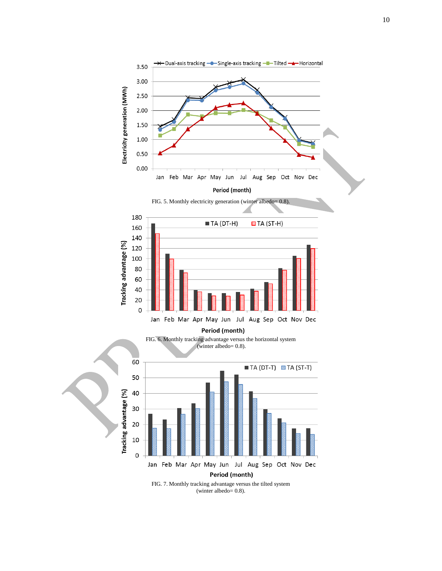<span id="page-9-0"></span>

<span id="page-9-2"></span><span id="page-9-1"></span>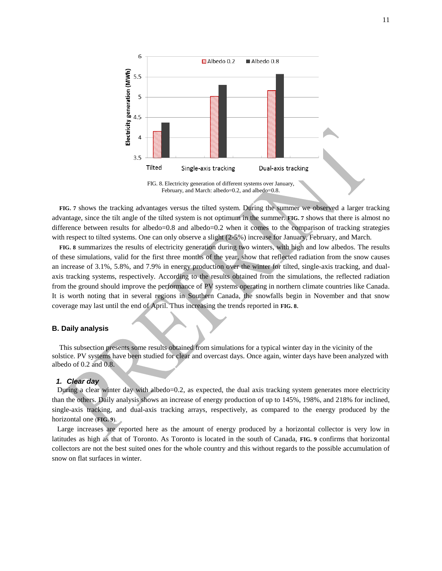

February, and March: albedo=0.2, and albedo=0.8.

<span id="page-10-0"></span>**[FIG. 7](#page-9-2)** shows the tracking advantages versus the tilted system. During the summer we observed a larger tracking advantage, since the tilt angle of the tilted system is not optimum in the summer. **[FIG. 7](#page-9-2)** shows that there is almost no difference between results for albedo=0.8 and albedo=0.2 when it comes to the comparison of tracking strategies with respect to tilted systems. One can only observe a slight (2-5%) increase for January, February, and March.

**[FIG. 8](#page-10-0)** summarizes the results of electricity generation during two winters, with high and low albedos. The results of these simulations, valid for the first three months of the year, show that reflected radiation from the snow causes an increase of 3.1%, 5.8%, and 7.9% in energy production over the winter for tilted, single-axis tracking, and dualaxis tracking systems, respectively. According to the results obtained from the simulations, the reflected radiation from the ground should improve the performance of PV systems operating in northern climate countries like Canada. It is worth noting that in several regions in Southern Canada, the snowfalls begin in November and that snow coverage may last until the end of April. Thus increasing the trends reported in **[FIG. 8](#page-10-0)**.

## **B. Daily analysis**

This subsection presents some results obtained from simulations for a typical winter day in the vicinity of the solstice. PV systems have been studied for clear and overcast days. Once again, winter days have been analyzed with albedo of 0.2 and 0.8.

#### *1. Clear day*

During a clear winter day with albedo=0.2, as expected, the dual axis tracking system generates more electricity than the others. Daily analysis shows an increase of energy production of up to 145%, 198%, and 218% for inclined, single-axis tracking, and dual-axis tracking arrays, respectively, as compared to the energy produced by the horizontal one (**[FIG. 9](#page-11-0)**).

Large increases are reported here as the amount of energy produced by a horizontal collector is very low in latitudes as high as that of Toronto. As Toronto is located in the south of Canada, **[FIG. 9](#page-11-0)** confirms that horizontal collectors are not the best suited ones for the whole country and this without regards to the possible accumulation of snow on flat surfaces in winter.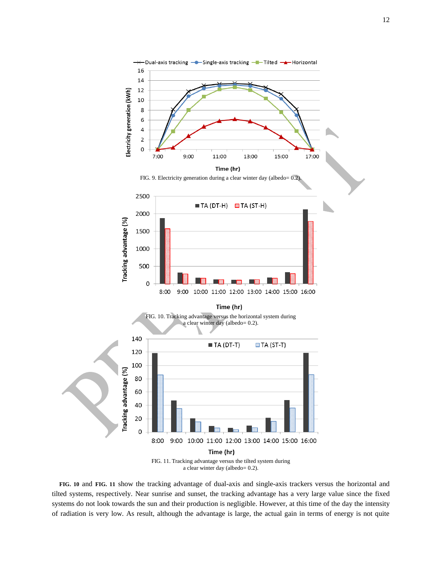<span id="page-11-0"></span>

<span id="page-11-2"></span><span id="page-11-1"></span>**[FIG. 10](#page-11-1)** and **[FIG. 11](#page-11-2)** show the tracking advantage of dual-axis and single-axis trackers versus the horizontal and tilted systems, respectively. Near sunrise and sunset, the tracking advantage has a very large value since the fixed systems do not look towards the sun and their production is negligible. However, at this time of the day the intensity of radiation is very low. As result, although the advantage is large, the actual gain in terms of energy is not quite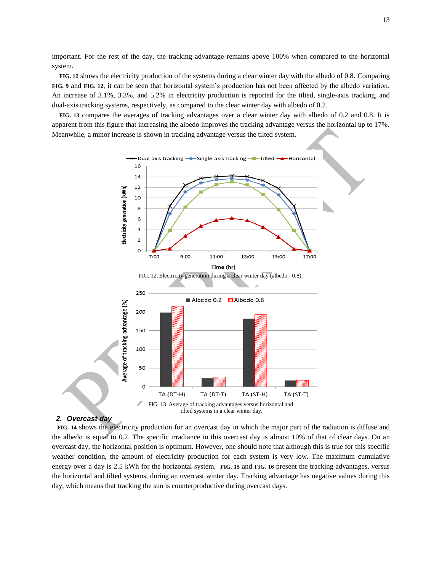important. For the rest of the day, the tracking advantage remains above 100% when compared to the horizontal system.

**[FIG. 12](#page-12-0)** shows the electricity production of the systems during a clear winter day with the albedo of 0.8. Comparing **[FIG. 9](#page-11-0)** and **[FIG. 12](#page-12-0)**, it can be seen that horizontal system's production has not been affected by the albedo variation. An increase of 3.1%, 3.3%, and 5.2% in electricity production is reported for the tilted, single-axis tracking, and dual-axis tracking systems, respectively, as compared to the clear winter day with albedo of 0.2.

**[FIG. 13](#page-12-1)** compares the averages of tracking advantages over a clear winter day with albedo of 0.2 and 0.8. It is apparent from this figure that increasing the albedo improves the tracking advantage versus the horizontal up to 17%. Meanwhile, a minor increase is shown in tracking advantage versus the tilted system.

<span id="page-12-0"></span>

#### <span id="page-12-1"></span>*2. Overcast day*

**[FIG. 14](#page-13-0)** shows the electricity production for an overcast day in which the major part of the radiation is diffuse and the albedo is equal to 0.2. The specific irradiance in this overcast day is almost 10% of that of clear days. On an overcast day, the horizontal position is optimum. However, one should note that although this is true for this specific weather condition, the amount of electricity production for each system is very low. The maximum cumulative energy over a day is 2.5 kWh for the horizontal system. **[FIG. 15](#page-13-1)** and **[FIG. 16](#page-14-0)** present the tracking advantages, versus the horizontal and tilted systems, during an overcast winter day. Tracking advantage has negative values during this day, which means that tracking the sun is counterproductive during overcast days.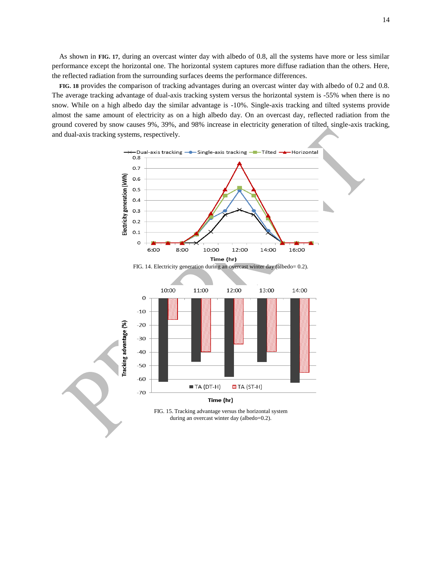As shown in **[FIG. 17](#page-14-1)**, during an overcast winter day with albedo of 0.8, all the systems have more or less similar performance except the horizontal one. The horizontal system captures more diffuse radiation than the others. Here, the reflected radiation from the surrounding surfaces deems the performance differences.

**[FIG. 18](#page-14-2)** provides the comparison of tracking advantages during an overcast winter day with albedo of 0.2 and 0.8. The average tracking advantage of dual-axis tracking system versus the horizontal system is -55% when there is no snow. While on a high albedo day the similar advantage is -10%. Single-axis tracking and tilted systems provide almost the same amount of electricity as on a high albedo day. On an overcast day, reflected radiation from the ground covered by snow causes 9%, 39%, and 98% increase in electricity generation of tilted, single-axis tracking, and dual-axis tracking systems, respectively.

<span id="page-13-1"></span><span id="page-13-0"></span>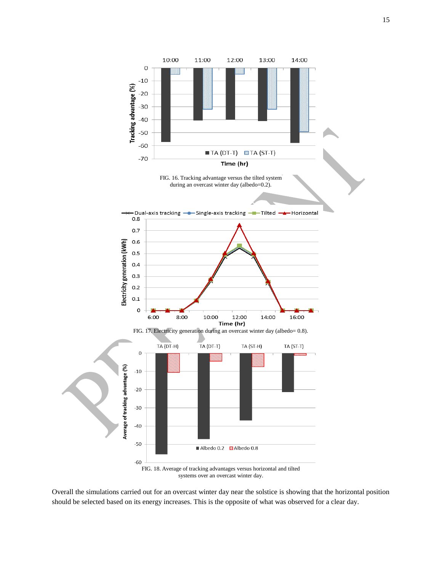<span id="page-14-0"></span>

<span id="page-14-2"></span><span id="page-14-1"></span>Overall the simulations carried out for an overcast winter day near the solstice is showing that the horizontal position should be selected based on its energy increases. This is the opposite of what was observed for a clear day.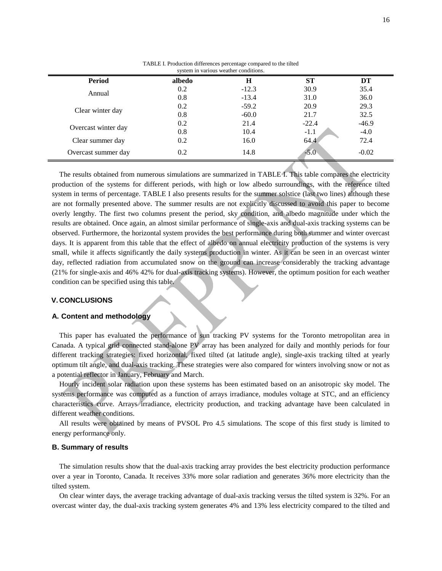<span id="page-15-0"></span>

| system in various weather conditions. |        |         |           |         |  |  |
|---------------------------------------|--------|---------|-----------|---------|--|--|
| <b>Period</b>                         | albedo | Н       | <b>ST</b> | DT      |  |  |
|                                       | 0.2    | $-12.3$ | 30.9      | 35.4    |  |  |
| Annual                                | 0.8    | $-13.4$ | 31.0      | 36.0    |  |  |
| Clear winter day                      | 0.2    | $-59.2$ | 20.9      | 29.3    |  |  |
|                                       | 0.8    | $-60.0$ | 21.7      | 32.5    |  |  |
| Overcast winter day                   | 0.2    | 21.4    | $-22.4$   | $-46.9$ |  |  |
|                                       | 0.8    | 10.4    | $-1.1$    | $-4.0$  |  |  |
| Clear summer day                      | 0.2    | 16.0    | 64.4      | 72.4    |  |  |
| Overcast summer day                   | 0.2    | 14.8    | $-5.0$    | $-0.02$ |  |  |

TABLE I. Production differences percentage compared to the tilted

The results obtained from numerous simulations are summarized in [TABLE](#page-15-0) I. This table compares the electricity production of the systems for different periods, with high or low albedo surroundings, with the reference tilted system in terms of percentage. [TABLE](#page-15-0) I also presents results for the summer solstice (last two lines) although these are not formally presented above. The summer results are not explicitly discussed to avoid this paper to become overly lengthy. The first two columns present the period, sky condition, and albedo magnitude under which the results are obtained. Once again, an almost similar performance of single-axis and dual-axis tracking systems can be observed. Furthermore, the horizontal system provides the best performance during both summer and winter overcast days. It is apparent from this table that the effect of albedo on annual electricity production of the systems is very small, while it affects significantly the daily systems production in winter. As it can be seen in an overcast winter day, reflected radiation from accumulated snow on the ground can increase considerably the tracking advantage (21% for single-axis and 46% 42% for dual-axis tracking systems). However, the optimum position for each weather condition can be specified using this table.

#### **V. CONCLUSIONS**

#### **A. Content and methodology**

This paper has evaluated the performance of sun tracking PV systems for the Toronto metropolitan area in Canada. A typical grid connected stand-alone PV array has been analyzed for daily and monthly periods for four different tracking strategies: fixed horizontal, fixed tilted (at latitude angle), single-axis tracking tilted at yearly optimum tilt angle, and dual-axis tracking. These strategies were also compared for winters involving snow or not as a potential reflector in January, February and March.

Hourly incident solar radiation upon these systems has been estimated based on an anisotropic sky model. The systems performance was computed as a function of arrays irradiance, modules voltage at STC, and an efficiency characteristics curve. Arrays irradiance, electricity production, and tracking advantage have been calculated in different weather conditions.

All results were obtained by means of PVSOL Pro 4.5 simulations. The scope of this first study is limited to energy performance only.

#### **B. Summary of results**

The simulation results show that the dual-axis tracking array provides the best electricity production performance over a year in Toronto, Canada. It receives 33% more solar radiation and generates 36% more electricity than the tilted system.

On clear winter days, the average tracking advantage of dual-axis tracking versus the tilted system is 32%. For an overcast winter day, the dual-axis tracking system generates 4% and 13% less electricity compared to the tilted and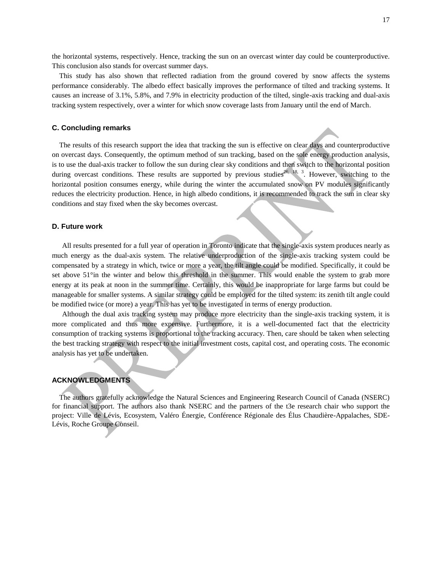the horizontal systems, respectively. Hence, tracking the sun on an overcast winter day could be counterproductive. This conclusion also stands for overcast summer days.

This study has also shown that reflected radiation from the ground covered by snow affects the systems performance considerably. The albedo effect basically improves the performance of tilted and tracking systems. It causes an increase of 3.1%, 5.8%, and 7.9% in electricity production of the tilted, single-axis tracking and dual-axis tracking system respectively, over a winter for which snow coverage lasts from January until the end of March.

## **C. Concluding remarks**

The results of this research support the idea that tracking the sun is effective on clear days and counterproductive on overcast days. Consequently, the optimum method of sun tracking, based on the sole energy production analysis, is to use the dual-axis tracker to follow the sun during clear sky conditions and then switch to the horizontal position during overcast conditions. These results are supported by previous studies<sup>[26,](#page-18-8) [18,](#page-18-0) [3](#page-17-2)</sup>. However, switching to the horizontal position consumes energy, while during the winter the accumulated snow on PV modules significantly reduces the electricity production. Hence, in high albedo conditions, it is recommended to track the sun in clear sky conditions and stay fixed when the sky becomes overcast.

## **D. Future work**

All results presented for a full year of operation in Toronto indicate that the single-axis system produces nearly as much energy as the dual-axis system. The relative underproduction of the single-axis tracking system could be compensated by a strategy in which, twice or more a year, the tilt angle could be modified. Specifically, it could be set above 51°in the winter and below this threshold in the summer. This would enable the system to grab more energy at its peak at noon in the summer time. Certainly, this would be inappropriate for large farms but could be manageable for smaller systems. A similar strategy could be employed for the tilted system: its zenith tilt angle could be modified twice (or more) a year. This has yet to be investigated in terms of energy production.

Although the dual axis tracking system may produce more electricity than the single-axis tracking system, it is more complicated and thus more expensive. Furthermore, it is a well-documented fact that the electricity consumption of tracking systems is proportional to the tracking accuracy. Then, care should be taken when selecting the best tracking strategy with respect to the initial investment costs, capital cost, and operating costs. The economic analysis has yet to be undertaken.

# **ACKNOWLEDGMENTS**

The authors gratefully acknowledge the Natural Sciences and Engineering Research Council of Canada (NSERC) for financial support. The authors also thank NSERC and the partners of the t3e research chair who support the project: Ville de Lévis, Ecosystem, Valéro Énergie, Conférence Régionale des Élus Chaudière-Appalaches, SDE-Lévis, Roche Groupe Conseil.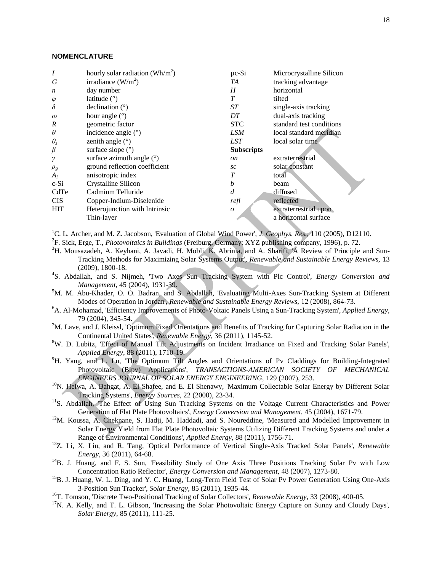## **NOMENCLATURE**

| irradiance $(W/m2)$<br>G<br>tracking advantage<br>TA<br>horizontal<br>day number<br>H<br>$\boldsymbol{n}$<br>T<br>latitude $(°)$<br>tilted<br>$\varphi$<br>$\delta$<br>ST<br>single-axis tracking<br>declination $(°)$<br>dual-axis tracking<br>hour angle $(°)$<br>DT<br>$\omega$<br>$\boldsymbol{R}$<br><b>STC</b><br>standard test conditions<br>geometric factor<br>$\theta$<br>incidence angle $(°)$<br>LSM<br>local standard meridian | Microcrystalline Silicon |  |
|---------------------------------------------------------------------------------------------------------------------------------------------------------------------------------------------------------------------------------------------------------------------------------------------------------------------------------------------------------------------------------------------------------------------------------------------|--------------------------|--|
|                                                                                                                                                                                                                                                                                                                                                                                                                                             |                          |  |
|                                                                                                                                                                                                                                                                                                                                                                                                                                             |                          |  |
|                                                                                                                                                                                                                                                                                                                                                                                                                                             |                          |  |
|                                                                                                                                                                                                                                                                                                                                                                                                                                             |                          |  |
|                                                                                                                                                                                                                                                                                                                                                                                                                                             |                          |  |
|                                                                                                                                                                                                                                                                                                                                                                                                                                             |                          |  |
|                                                                                                                                                                                                                                                                                                                                                                                                                                             |                          |  |
| $\theta_z$<br>LST<br>local solar time<br>zenith angle $(°)$                                                                                                                                                                                                                                                                                                                                                                                 |                          |  |
| $\beta$<br>surface slope $(°)$<br><b>Subscripts</b>                                                                                                                                                                                                                                                                                                                                                                                         |                          |  |
| surface azimuth angle $(°)$<br>extraterrestrial<br>$\gamma$<br><sub>on</sub>                                                                                                                                                                                                                                                                                                                                                                |                          |  |
| solar constant<br>ground reflection coefficient<br>sc<br>$\rho_g$                                                                                                                                                                                                                                                                                                                                                                           |                          |  |
| $A_i$<br>anisotropic index<br>total                                                                                                                                                                                                                                                                                                                                                                                                         |                          |  |
| $c-Si$<br>Crystalline Silicon<br>h<br>beam                                                                                                                                                                                                                                                                                                                                                                                                  |                          |  |
| CdTe<br>Cadmium Telluride<br>diffused<br>d                                                                                                                                                                                                                                                                                                                                                                                                  |                          |  |
| <b>CIS</b><br>Copper-Indium-Diselenide<br>reflected<br>refl                                                                                                                                                                                                                                                                                                                                                                                 |                          |  |
| <b>HIT</b><br>Heterojunction with Intrinsic<br>extraterrestrial upon<br>$\boldsymbol{o}$                                                                                                                                                                                                                                                                                                                                                    |                          |  |
| a horizontal surface<br>Thin-layer                                                                                                                                                                                                                                                                                                                                                                                                          |                          |  |

<span id="page-17-0"></span><sup>1</sup>C. L. Archer, and M. Z. Jacobson, 'Evaluation of Global Wind Power', *J. Geophys. Res.*, 110 (2005), D12110.

- <span id="page-17-1"></span>2 F. Sick, Erge, T., *Photovoltaics in Buildings* (Freiburg, Germany: XYZ publishing company, 1996), p. 72.
- <span id="page-17-2"></span><sup>3</sup>H. Mousazadeh, A. Keyhani, A. Javadi, H. Mobli, K. Abrinia, and A. Sharifi, 'A Review of Principle and Sun-Tracking Methods for Maximizing Solar Systems Output', *Renewable and Sustainable Energy Reviews,* 13 (2009), 1800-18.
- <span id="page-17-3"></span>4 S. Abdallah, and S. Nijmeh, 'Two Axes Sun Tracking System with Plc Control', *Energy Conversion and Management,* 45 (2004), 1931-39.
- <sup>5</sup>M. M. Abu-Khader, O. O. Badran, and S. Abdallah, 'Evaluating Multi-Axes Sun-Tracking System at Different Modes of Operation in Jordan', *Renewable and Sustainable Energy Reviews,* 12 (2008), 864-73.
- <sup>6</sup>A. Al-Mohamad, 'Efficiency Improvements of Photo-Voltaic Panels Using a Sun-Tracking System', *Applied Energy,* 79 (2004), 345-54.
- $7M$ . Lave, and J. Kleissl, 'Optimum Fixed Orientations and Benefits of Tracking for Capturing Solar Radiation in the Continental United States', *Renewable Energy,* 36 (2011), 1145-52.
- <sup>8</sup>W. D. Lubitz, 'Effect of Manual Tilt Adjustments on Incident Irradiance on Fixed and Tracking Solar Panels', *Applied Energy,* 88 (2011), 1710-19.
- <sup>9</sup>H. Yang, and L. Lu, 'The Optimum Tilt Angles and Orientations of Pv Claddings for Building-Integrated Photovoltaic (Bipv) Applications', *TRANSACTIONS-AMERICAN SOCIETY OF MECHANICAL ENGINEERS JOURNAL OF SOLAR ENERGY ENGINEERING,* 129 (2007), 253.
- <span id="page-17-4"></span><sup>10</sup>N. Helwa, A. Bahgat, A. El Shafee, and E. El Shenawy, 'Maximum Collectable Solar Energy by Different Solar Tracking Systems', *Energy Sources,* 22 (2000), 23-34.
- <span id="page-17-5"></span><sup>11</sup>S. Abdallah, 'The Effect of Using Sun Tracking Systems on the Voltage–Current Characteristics and Power Generation of Flat Plate Photovoltaics', *Energy Conversion and Management,* 45 (2004), 1671-79.
- <span id="page-17-6"></span><sup>12</sup>M. Koussa, A. Cheknane, S. Hadji, M. Haddadi, and S. Noureddine, 'Measured and Modelled Improvement in Solar Energy Yield from Flat Plate Photovoltaic Systems Utilizing Different Tracking Systems and under a Range of Environmental Conditions', *Applied Energy,* 88 (2011), 1756-71.
- <span id="page-17-7"></span><sup>13</sup>Z. Li, X. Liu, and R. Tang, 'Optical Performance of Vertical Single-Axis Tracked Solar Panels', *Renewable Energy,* 36 (2011), 64-68.
- <span id="page-17-8"></span><sup>14</sup>B. J. Huang, and F. S. Sun, 'Feasibility Study of One Axis Three Positions Tracking Solar Pv with Low Concentration Ratio Reflector', *Energy Conversion and Management,* 48 (2007), 1273-80.
- <span id="page-17-9"></span><sup>15</sup>B. J. Huang, W. L. Ding, and Y. C. Huang, 'Long-Term Field Test of Solar Pv Power Generation Using One-Axis 3-Position Sun Tracker', *Solar Energy,* 85 (2011), 1935-44.
- <span id="page-17-10"></span><sup>16</sup>T. Tomson, 'Discrete Two-Positional Tracking of Solar Collectors', *Renewable Energy*, 33 (2008), 400-05.
- <span id="page-17-11"></span> $17$ N. A. Kelly, and T. L. Gibson, 'Increasing the Solar Photovoltaic Energy Capture on Sunny and Cloudy Days', *Solar Energy,* 85 (2011), 111-25.